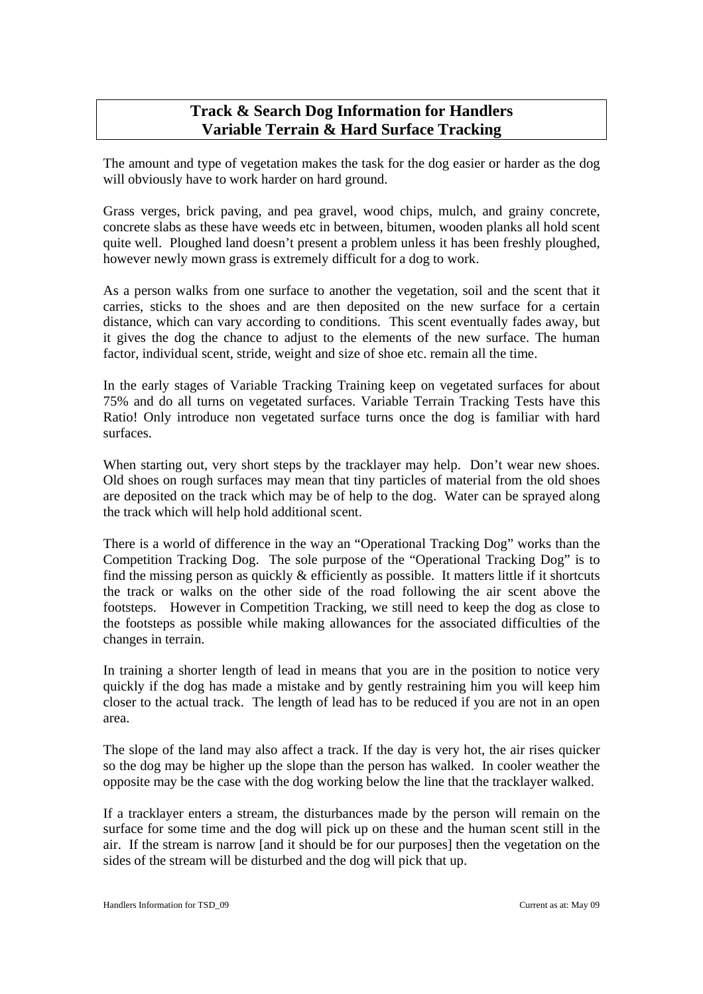# **Track & Search Dog Information for Handlers Variable Terrain & Hard Surface Tracking**

The amount and type of vegetation makes the task for the dog easier or harder as the dog will obviously have to work harder on hard ground.

Grass verges, brick paving, and pea gravel, wood chips, mulch, and grainy concrete, concrete slabs as these have weeds etc in between, bitumen, wooden planks all hold scent quite well. Ploughed land doesn't present a problem unless it has been freshly ploughed, however newly mown grass is extremely difficult for a dog to work.

As a person walks from one surface to another the vegetation, soil and the scent that it carries, sticks to the shoes and are then deposited on the new surface for a certain distance, which can vary according to conditions. This scent eventually fades away, but it gives the dog the chance to adjust to the elements of the new surface. The human factor, individual scent, stride, weight and size of shoe etc. remain all the time.

In the early stages of Variable Tracking Training keep on vegetated surfaces for about 75% and do all turns on vegetated surfaces. Variable Terrain Tracking Tests have this Ratio! Only introduce non vegetated surface turns once the dog is familiar with hard surfaces.

When starting out, very short steps by the tracklayer may help. Don't wear new shoes. Old shoes on rough surfaces may mean that tiny particles of material from the old shoes are deposited on the track which may be of help to the dog. Water can be sprayed along the track which will help hold additional scent.

There is a world of difference in the way an "Operational Tracking Dog" works than the Competition Tracking Dog. The sole purpose of the "Operational Tracking Dog" is to find the missing person as quickly & efficiently as possible. It matters little if it shortcuts the track or walks on the other side of the road following the air scent above the footsteps. However in Competition Tracking, we still need to keep the dog as close to the footsteps as possible while making allowances for the associated difficulties of the changes in terrain.

In training a shorter length of lead in means that you are in the position to notice very quickly if the dog has made a mistake and by gently restraining him you will keep him closer to the actual track. The length of lead has to be reduced if you are not in an open area.

The slope of the land may also affect a track. If the day is very hot, the air rises quicker so the dog may be higher up the slope than the person has walked. In cooler weather the opposite may be the case with the dog working below the line that the tracklayer walked.

If a tracklayer enters a stream, the disturbances made by the person will remain on the surface for some time and the dog will pick up on these and the human scent still in the air. If the stream is narrow [and it should be for our purposes] then the vegetation on the sides of the stream will be disturbed and the dog will pick that up.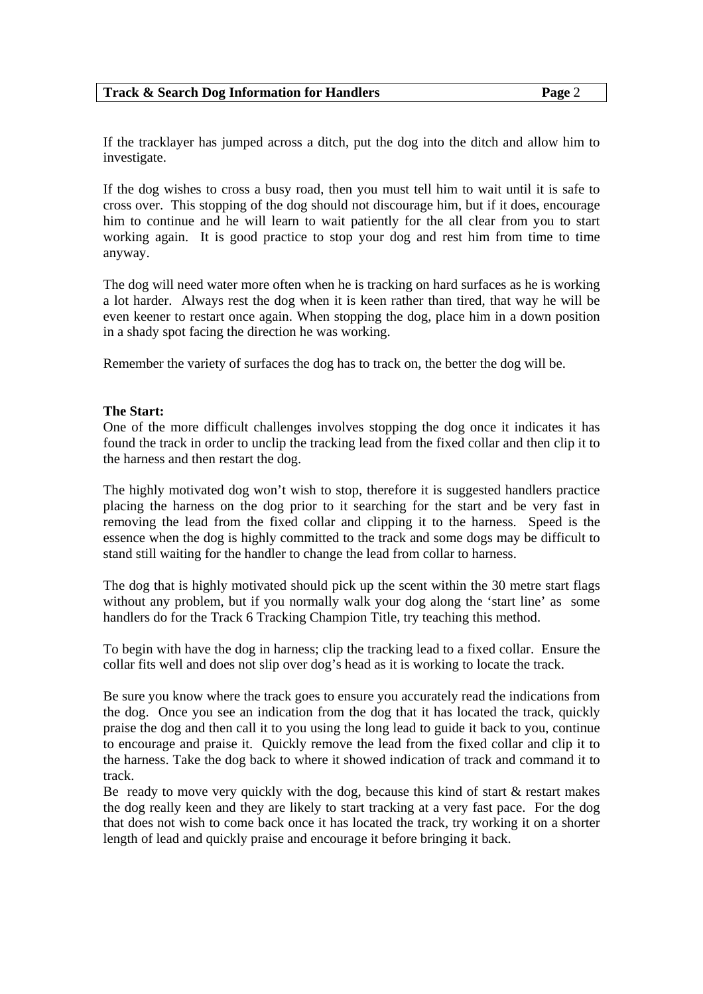#### **Track & Search Dog Information for Handlers Track Assume Assume 2**

If the tracklayer has jumped across a ditch, put the dog into the ditch and allow him to investigate.

If the dog wishes to cross a busy road, then you must tell him to wait until it is safe to cross over. This stopping of the dog should not discourage him, but if it does, encourage him to continue and he will learn to wait patiently for the all clear from you to start working again. It is good practice to stop your dog and rest him from time to time anyway.

The dog will need water more often when he is tracking on hard surfaces as he is working a lot harder. Always rest the dog when it is keen rather than tired, that way he will be even keener to restart once again. When stopping the dog, place him in a down position in a shady spot facing the direction he was working.

Remember the variety of surfaces the dog has to track on, the better the dog will be.

# **The Start:**

One of the more difficult challenges involves stopping the dog once it indicates it has found the track in order to unclip the tracking lead from the fixed collar and then clip it to the harness and then restart the dog.

The highly motivated dog won't wish to stop, therefore it is suggested handlers practice placing the harness on the dog prior to it searching for the start and be very fast in removing the lead from the fixed collar and clipping it to the harness. Speed is the essence when the dog is highly committed to the track and some dogs may be difficult to stand still waiting for the handler to change the lead from collar to harness.

The dog that is highly motivated should pick up the scent within the 30 metre start flags without any problem, but if you normally walk your dog along the 'start line' as some handlers do for the Track 6 Tracking Champion Title, try teaching this method.

To begin with have the dog in harness; clip the tracking lead to a fixed collar. Ensure the collar fits well and does not slip over dog's head as it is working to locate the track.

Be sure you know where the track goes to ensure you accurately read the indications from the dog. Once you see an indication from the dog that it has located the track, quickly praise the dog and then call it to you using the long lead to guide it back to you, continue to encourage and praise it. Quickly remove the lead from the fixed collar and clip it to the harness. Take the dog back to where it showed indication of track and command it to track.

Be ready to move very quickly with the dog, because this kind of start  $\&$  restart makes the dog really keen and they are likely to start tracking at a very fast pace. For the dog that does not wish to come back once it has located the track, try working it on a shorter length of lead and quickly praise and encourage it before bringing it back.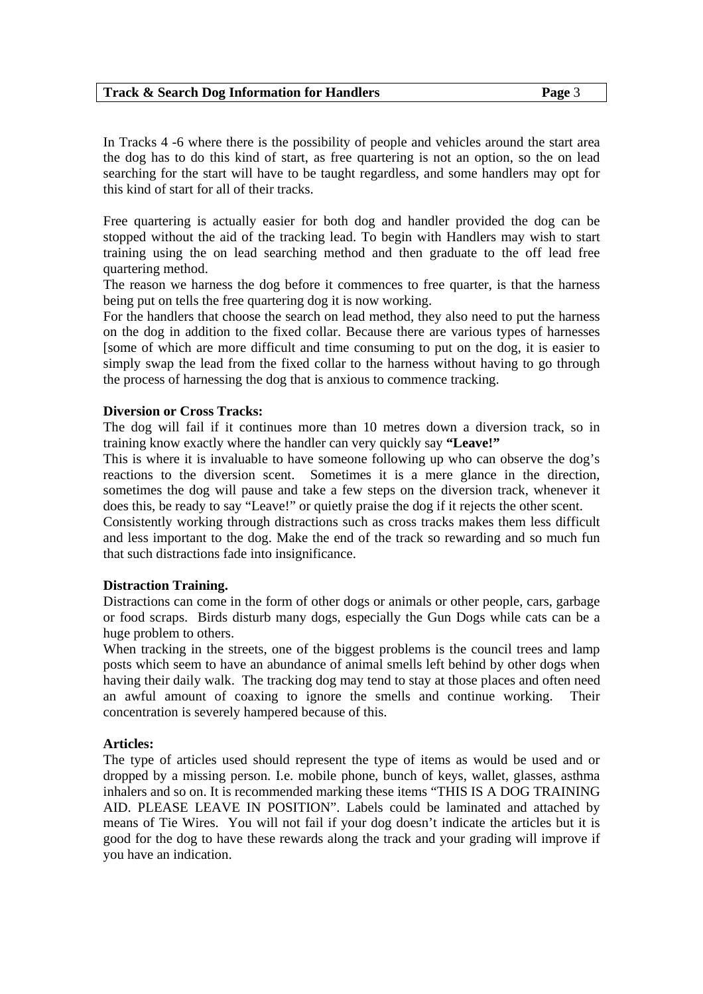#### **Track & Search Dog Information for Handlers Track Assumed Bagger 3**

In Tracks 4 -6 where there is the possibility of people and vehicles around the start area the dog has to do this kind of start, as free quartering is not an option, so the on lead searching for the start will have to be taught regardless, and some handlers may opt for this kind of start for all of their tracks.

Free quartering is actually easier for both dog and handler provided the dog can be stopped without the aid of the tracking lead. To begin with Handlers may wish to start training using the on lead searching method and then graduate to the off lead free quartering method.

The reason we harness the dog before it commences to free quarter, is that the harness being put on tells the free quartering dog it is now working.

For the handlers that choose the search on lead method, they also need to put the harness on the dog in addition to the fixed collar. Because there are various types of harnesses [some of which are more difficult and time consuming to put on the dog, it is easier to simply swap the lead from the fixed collar to the harness without having to go through the process of harnessing the dog that is anxious to commence tracking.

#### **Diversion or Cross Tracks:**

The dog will fail if it continues more than 10 metres down a diversion track, so in training know exactly where the handler can very quickly say **"Leave!"** 

This is where it is invaluable to have someone following up who can observe the dog's reactions to the diversion scent. Sometimes it is a mere glance in the direction, sometimes the dog will pause and take a few steps on the diversion track, whenever it does this, be ready to say "Leave!" or quietly praise the dog if it rejects the other scent.

Consistently working through distractions such as cross tracks makes them less difficult and less important to the dog. Make the end of the track so rewarding and so much fun that such distractions fade into insignificance.

#### **Distraction Training.**

Distractions can come in the form of other dogs or animals or other people, cars, garbage or food scraps. Birds disturb many dogs, especially the Gun Dogs while cats can be a huge problem to others.

When tracking in the streets, one of the biggest problems is the council trees and lamp posts which seem to have an abundance of animal smells left behind by other dogs when having their daily walk. The tracking dog may tend to stay at those places and often need an awful amount of coaxing to ignore the smells and continue working. Their concentration is severely hampered because of this.

#### **Articles:**

The type of articles used should represent the type of items as would be used and or dropped by a missing person. I.e. mobile phone, bunch of keys, wallet, glasses, asthma inhalers and so on. It is recommended marking these items "THIS IS A DOG TRAINING AID. PLEASE LEAVE IN POSITION". Labels could be laminated and attached by means of Tie Wires. You will not fail if your dog doesn't indicate the articles but it is good for the dog to have these rewards along the track and your grading will improve if you have an indication.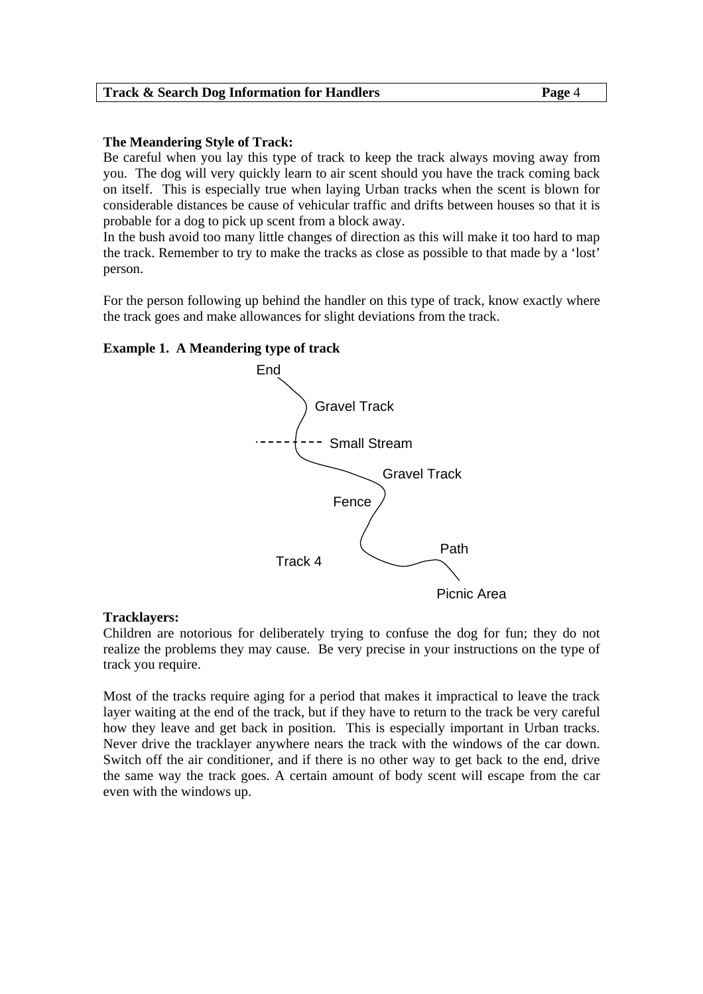## **The Meandering Style of Track:**

Be careful when you lay this type of track to keep the track always moving away from you. The dog will very quickly learn to air scent should you have the track coming back on itself. This is especially true when laying Urban tracks when the scent is blown for considerable distances be cause of vehicular traffic and drifts between houses so that it is probable for a dog to pick up scent from a block away.

In the bush avoid too many little changes of direction as this will make it too hard to map the track. Remember to try to make the tracks as close as possible to that made by a 'lost' person.

For the person following up behind the handler on this type of track, know exactly where the track goes and make allowances for slight deviations from the track.

## **Example 1. A Meandering type of track**



#### **Tracklayers:**

Children are notorious for deliberately trying to confuse the dog for fun; they do not realize the problems they may cause. Be very precise in your instructions on the type of track you require.

Most of the tracks require aging for a period that makes it impractical to leave the track layer waiting at the end of the track, but if they have to return to the track be very careful how they leave and get back in position. This is especially important in Urban tracks. Never drive the tracklayer anywhere nears the track with the windows of the car down. Switch off the air conditioner, and if there is no other way to get back to the end, drive the same way the track goes. A certain amount of body scent will escape from the car even with the windows up.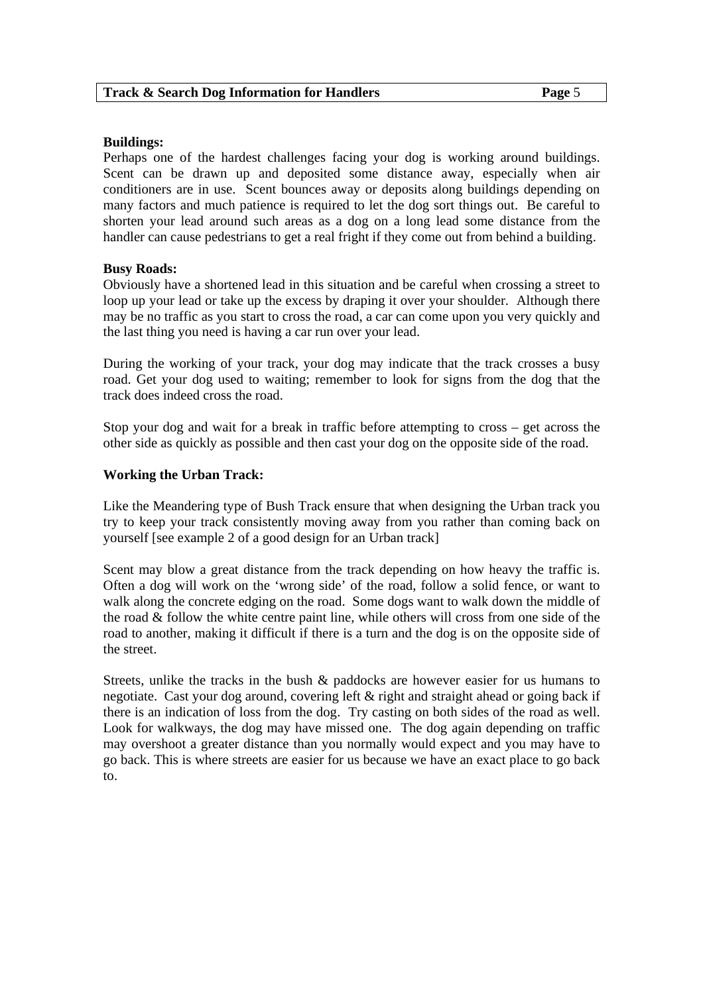#### **Buildings:**

Perhaps one of the hardest challenges facing your dog is working around buildings. Scent can be drawn up and deposited some distance away, especially when air conditioners are in use. Scent bounces away or deposits along buildings depending on many factors and much patience is required to let the dog sort things out. Be careful to shorten your lead around such areas as a dog on a long lead some distance from the handler can cause pedestrians to get a real fright if they come out from behind a building.

## **Busy Roads:**

Obviously have a shortened lead in this situation and be careful when crossing a street to loop up your lead or take up the excess by draping it over your shoulder. Although there may be no traffic as you start to cross the road, a car can come upon you very quickly and the last thing you need is having a car run over your lead.

During the working of your track, your dog may indicate that the track crosses a busy road. Get your dog used to waiting; remember to look for signs from the dog that the track does indeed cross the road.

Stop your dog and wait for a break in traffic before attempting to cross – get across the other side as quickly as possible and then cast your dog on the opposite side of the road.

# **Working the Urban Track:**

Like the Meandering type of Bush Track ensure that when designing the Urban track you try to keep your track consistently moving away from you rather than coming back on yourself [see example 2 of a good design for an Urban track]

Scent may blow a great distance from the track depending on how heavy the traffic is. Often a dog will work on the 'wrong side' of the road, follow a solid fence, or want to walk along the concrete edging on the road. Some dogs want to walk down the middle of the road & follow the white centre paint line, while others will cross from one side of the road to another, making it difficult if there is a turn and the dog is on the opposite side of the street.

Streets, unlike the tracks in the bush & paddocks are however easier for us humans to negotiate. Cast your dog around, covering left & right and straight ahead or going back if there is an indication of loss from the dog. Try casting on both sides of the road as well. Look for walkways, the dog may have missed one. The dog again depending on traffic may overshoot a greater distance than you normally would expect and you may have to go back. This is where streets are easier for us because we have an exact place to go back to.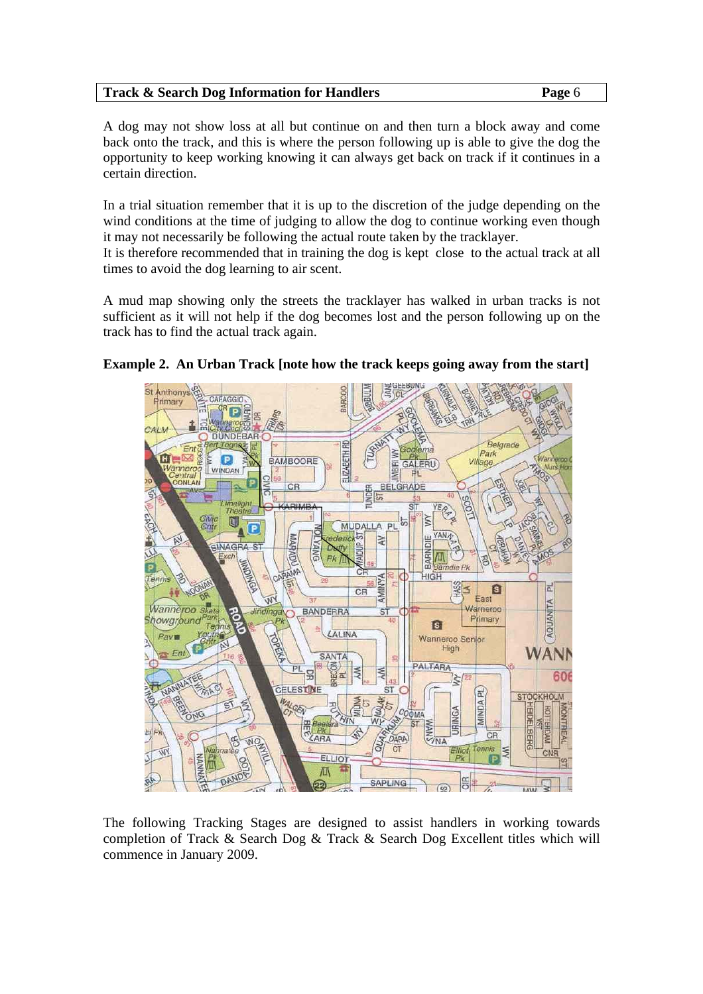A dog may not show loss at all but continue on and then turn a block away and come back onto the track, and this is where the person following up is able to give the dog the opportunity to keep working knowing it can always get back on track if it continues in a certain direction.

In a trial situation remember that it is up to the discretion of the judge depending on the wind conditions at the time of judging to allow the dog to continue working even though it may not necessarily be following the actual route taken by the tracklayer.

It is therefore recommended that in training the dog is kept close to the actual track at all times to avoid the dog learning to air scent.

A mud map showing only the streets the tracklayer has walked in urban tracks is not sufficient as it will not help if the dog becomes lost and the person following up on the track has to find the actual track again.



# **Example 2. An Urban Track [note how the track keeps going away from the start]**

The following Tracking Stages are designed to assist handlers in working towards completion of Track & Search Dog & Track & Search Dog Excellent titles which will commence in January 2009.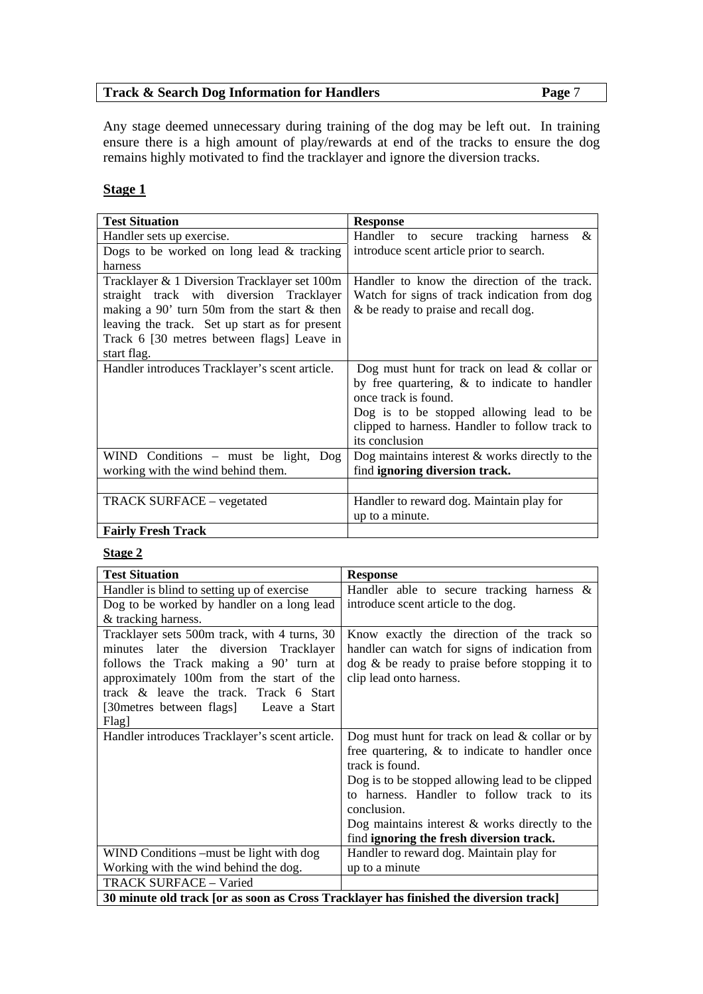Any stage deemed unnecessary during training of the dog may be left out. In training ensure there is a high amount of play/rewards at end of the tracks to ensure the dog remains highly motivated to find the tracklayer and ignore the diversion tracks.

# **Stage 1**

| <b>Test Situation</b>                          | <b>Response</b>                                  |
|------------------------------------------------|--------------------------------------------------|
| Handler sets up exercise.                      | Handler to<br>&<br>secure tracking<br>harness    |
| Dogs to be worked on long lead $&$ tracking    | introduce scent article prior to search.         |
| harness                                        |                                                  |
| Tracklayer & 1 Diversion Tracklayer set 100m   | Handler to know the direction of the track.      |
| straight track with diversion Tracklayer       | Watch for signs of track indication from dog     |
| making a 90' turn 50m from the start $&$ then  | & be ready to praise and recall dog.             |
| leaving the track. Set up start as for present |                                                  |
| Track 6 [30 metres between flags] Leave in     |                                                  |
| start flag.                                    |                                                  |
| Handler introduces Tracklayer's scent article. | Dog must hunt for track on lead $&$ collar or    |
|                                                | by free quartering, $\&$ to indicate to handler  |
|                                                | once track is found.                             |
|                                                | Dog is to be stopped allowing lead to be         |
|                                                | clipped to harness. Handler to follow track to   |
|                                                | its conclusion                                   |
| WIND Conditions $-$ must be light, $\log$      | Dog maintains interest $&$ works directly to the |
| working with the wind behind them.             | find ignoring diversion track.                   |
|                                                |                                                  |
| <b>TRACK SURFACE – vegetated</b>               | Handler to reward dog. Maintain play for         |
|                                                | up to a minute.                                  |
| <b>Fairly Fresh Track</b>                      |                                                  |

# **Stage 2**

| <b>Test Situation</b>                                                                                                                                                                                                                                                      | <b>Response</b>                                                                                                                                                                                                                                                                                                                            |
|----------------------------------------------------------------------------------------------------------------------------------------------------------------------------------------------------------------------------------------------------------------------------|--------------------------------------------------------------------------------------------------------------------------------------------------------------------------------------------------------------------------------------------------------------------------------------------------------------------------------------------|
| Handler is blind to setting up of exercise                                                                                                                                                                                                                                 | Handler able to secure tracking harness $\&$                                                                                                                                                                                                                                                                                               |
| Dog to be worked by handler on a long lead                                                                                                                                                                                                                                 | introduce scent article to the dog.                                                                                                                                                                                                                                                                                                        |
| & tracking harness.                                                                                                                                                                                                                                                        |                                                                                                                                                                                                                                                                                                                                            |
| Tracklayer sets 500m track, with 4 turns, 30<br>minutes later the diversion Tracklayer<br>follows the Track making a 90' turn at<br>approximately 100m from the start of the<br>track & leave the track. Track 6 Start<br>[30 metres between flags] Leave a Start<br>Flag] | Know exactly the direction of the track so<br>handler can watch for signs of indication from<br>$\log \&$ be ready to praise before stopping it to<br>clip lead onto harness.                                                                                                                                                              |
| Handler introduces Tracklayer's scent article.                                                                                                                                                                                                                             | Dog must hunt for track on lead $&$ collar or by<br>free quartering, $\&$ to indicate to handler once<br>track is found.<br>Dog is to be stopped allowing lead to be clipped<br>to harness. Handler to follow track to its<br>conclusion.<br>Dog maintains interest $\&$ works directly to the<br>find ignoring the fresh diversion track. |
| WIND Conditions –must be light with dog                                                                                                                                                                                                                                    | Handler to reward dog. Maintain play for                                                                                                                                                                                                                                                                                                   |
| Working with the wind behind the dog.                                                                                                                                                                                                                                      | up to a minute                                                                                                                                                                                                                                                                                                                             |
| TRACK SURFACE - Varied                                                                                                                                                                                                                                                     |                                                                                                                                                                                                                                                                                                                                            |
| 30 minute old track [or as soon as Cross Tracklayer has finished the diversion track]                                                                                                                                                                                      |                                                                                                                                                                                                                                                                                                                                            |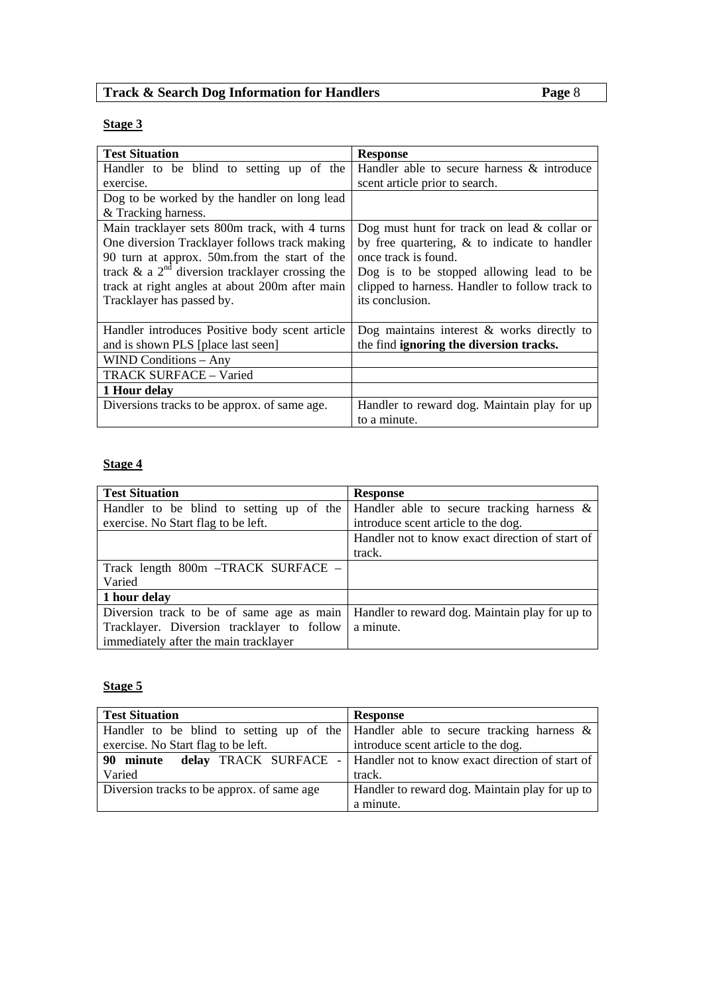# **Stage 3**

| <b>Test Situation</b>                                | <b>Response</b>                                 |
|------------------------------------------------------|-------------------------------------------------|
| Handler to be blind to setting up of the             | Handler able to secure harness & introduce      |
| exercise.                                            | scent article prior to search.                  |
| Dog to be worked by the handler on long lead         |                                                 |
| & Tracking harness.                                  |                                                 |
| Main tracklayer sets 800m track, with 4 turns        | Dog must hunt for track on lead $&$ collar or   |
| One diversion Tracklayer follows track making        | by free quartering, $\&$ to indicate to handler |
| 90 turn at approx. 50m. from the start of the        | once track is found.                            |
| track $\&$ a $2nd$ diversion tracklayer crossing the | Dog is to be stopped allowing lead to be        |
| track at right angles at about 200m after main       | clipped to harness. Handler to follow track to  |
| Tracklayer has passed by.                            | its conclusion.                                 |
|                                                      |                                                 |
| Handler introduces Positive body scent article       | Dog maintains interest $\&$ works directly to   |
| and is shown PLS [place last seen]                   | the find ignoring the diversion tracks.         |
| <b>WIND Conditions - Any</b>                         |                                                 |
| <b>TRACK SURFACE - Varied</b>                        |                                                 |
| 1 Hour delay                                         |                                                 |
| Diversions tracks to be approx. of same age.         | Handler to reward dog. Maintain play for up     |
|                                                      | to a minute.                                    |

# **Stage 4**

| <b>Test Situation</b>                      | <b>Response</b>                                 |
|--------------------------------------------|-------------------------------------------------|
| Handler to be blind to setting up of the   | Handler able to secure tracking harness $\&$    |
| exercise. No Start flag to be left.        | introduce scent article to the dog.             |
|                                            | Handler not to know exact direction of start of |
|                                            | track.                                          |
| Track length 800m -TRACK SURFACE -         |                                                 |
| Varied                                     |                                                 |
| 1 hour delay                               |                                                 |
| Diversion track to be of same age as main  | Handler to reward dog. Maintain play for up to  |
| Tracklayer. Diversion tracklayer to follow | a minute.                                       |
| immediately after the main tracklayer      |                                                 |

# **Stage 5**

| <b>Test Situation</b>                      | <b>Response</b>                                                                       |
|--------------------------------------------|---------------------------------------------------------------------------------------|
|                                            | Handler to be blind to setting up of the Handler able to secure tracking harness $\&$ |
| exercise. No Start flag to be left.        | introduce scent article to the dog.                                                   |
| 90 minute                                  | delay TRACK SURFACE -   Handler not to know exact direction of start of               |
| Varied                                     | track.                                                                                |
| Diversion tracks to be approx. of same age | Handler to reward dog. Maintain play for up to                                        |
|                                            | a minute.                                                                             |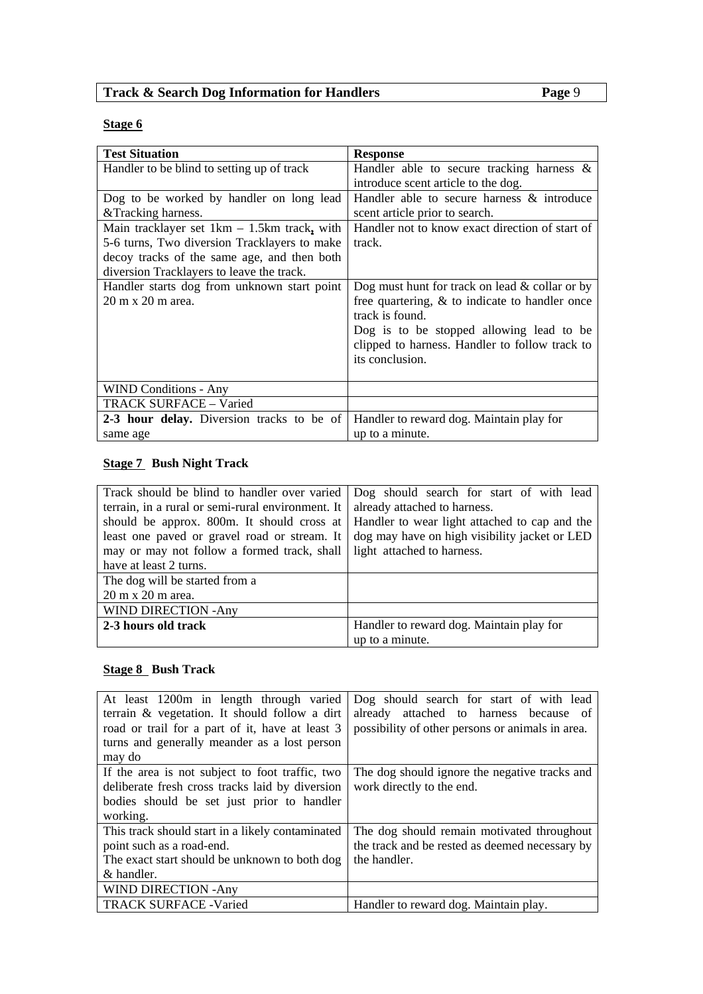# **Stage 6**

| <b>Test Situation</b>                         | <b>Response</b>                                   |
|-----------------------------------------------|---------------------------------------------------|
| Handler to be blind to setting up of track    | Handler able to secure tracking harness $\&$      |
|                                               | introduce scent article to the dog.               |
| Dog to be worked by handler on long lead      | Handler able to secure harness & introduce        |
| & Tracking harness.                           | scent article prior to search.                    |
| Main tracklayer set $1km - 1.5km$ track, with | Handler not to know exact direction of start of   |
| 5-6 turns, Two diversion Tracklayers to make  | track.                                            |
| decoy tracks of the same age, and then both   |                                                   |
| diversion Tracklayers to leave the track.     |                                                   |
| Handler starts dog from unknown start point   | Dog must hunt for track on lead $&$ collar or by  |
| 20 m x 20 m area.                             | free quartering, $\&$ to indicate to handler once |
|                                               | track is found.                                   |
|                                               | Dog is to be stopped allowing lead to be          |
|                                               | clipped to harness. Handler to follow track to    |
|                                               | its conclusion.                                   |
|                                               |                                                   |
| <b>WIND Conditions - Any</b>                  |                                                   |
| TRACK SURFACE - Varied                        |                                                   |
| 2-3 hour delay. Diversion tracks to be of     | Handler to reward dog. Maintain play for          |
| same age                                      | up to a minute.                                   |

# **Stage 7 Bush Night Track**

| Track should be blind to handler over varied      | Dog should search for start of with lead      |
|---------------------------------------------------|-----------------------------------------------|
| terrain, in a rural or semi-rural environment. It | already attached to harness.                  |
| should be approx. 800m. It should cross at        | Handler to wear light attached to cap and the |
| least one paved or gravel road or stream. It      | dog may have on high visibility jacket or LED |
| may or may not follow a formed track, shall       | light attached to harness.                    |
| have at least 2 turns.                            |                                               |
| The dog will be started from a                    |                                               |
| $20 \text{ m} \times 20 \text{ m}$ area.          |                                               |
| WIND DIRECTION - Any                              |                                               |
| 2-3 hours old track                               | Handler to reward dog. Maintain play for      |
|                                                   | up to a minute.                               |

# **<u>Stage 8</u> Bush Track**

| At least 1200m in length through varied<br>terrain & vegetation. It should follow a dirt<br>road or trail for a part of it, have at least 3<br>turns and generally meander as a lost person<br>may do | Dog should search for start of with lead<br>already attached to harness because of<br>possibility of other persons or animals in area. |
|-------------------------------------------------------------------------------------------------------------------------------------------------------------------------------------------------------|----------------------------------------------------------------------------------------------------------------------------------------|
| If the area is not subject to foot traffic, two<br>deliberate fresh cross tracks laid by diversion<br>bodies should be set just prior to handler<br>working.                                          | The dog should ignore the negative tracks and<br>work directly to the end.                                                             |
| This track should start in a likely contaminated<br>point such as a road-end.<br>The exact start should be unknown to both dog<br>& handler.                                                          | The dog should remain motivated throughout<br>the track and be rested as deemed necessary by<br>the handler.                           |
| <b>WIND DIRECTION - Any</b>                                                                                                                                                                           |                                                                                                                                        |
| <b>TRACK SURFACE - Varied</b>                                                                                                                                                                         | Handler to reward dog. Maintain play.                                                                                                  |